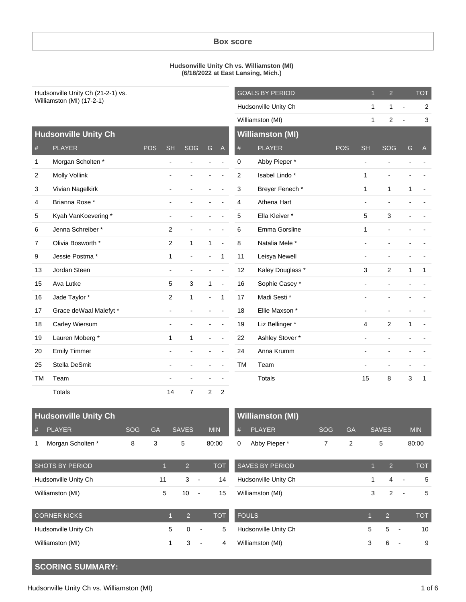### **Box score**

#### **Hudsonville Unity Ch vs. Williamston (MI) (6/18/2022 at East Lansing, Mich.)**

| Hudsonville Unity Ch (21-2-1) vs. |                             |            |                | <b>GOALS BY PERIOD</b> |                | $\mathbf{1}$   | $\overline{2}$ |                         | <b>TOT</b>     |                          |                |                |                |
|-----------------------------------|-----------------------------|------------|----------------|------------------------|----------------|----------------|----------------|-------------------------|----------------|--------------------------|----------------|----------------|----------------|
|                                   | Williamston (MI) (17-2-1)   |            |                | Hudsonville Unity Ch   |                |                | $\mathbf{1}$   | $\mathbf{1}$            | $\blacksquare$ | 2                        |                |                |                |
|                                   |                             |            |                |                        |                |                |                | Williamston (MI)        |                | $\mathbf{1}$             | $\overline{c}$ | $\overline{a}$ | 3              |
|                                   | <b>Hudsonville Unity Ch</b> |            |                |                        |                |                |                | <b>Williamston (MI)</b> |                |                          |                |                |                |
| $^{\#}$                           | <b>PLAYER</b>               | <b>POS</b> | <b>SH</b>      | SOG                    | G              | $\overline{A}$ | #              | <b>PLAYER</b>           | <b>POS</b>     | <b>SH</b>                | <b>SOG</b>     | G              | $\mathsf{A}$   |
| 1                                 | Morgan Scholten *           |            | $\blacksquare$ |                        |                |                | 0              | Abby Pieper *           |                | $\overline{\phantom{a}}$ | $\overline{a}$ |                |                |
| 2                                 | <b>Molly Vollink</b>        |            |                |                        |                |                | $\overline{c}$ | Isabel Lindo*           |                | $\mathbf{1}$             |                |                |                |
| 3                                 | Vivian Nagelkirk            |            |                |                        |                |                | 3              | Breyer Fenech*          |                | $\mathbf{1}$             | $\mathbf{1}$   | 1              | $\overline{a}$ |
| 4                                 | Brianna Rose *              |            |                |                        |                |                | 4              | Athena Hart             |                | $\blacksquare$           |                |                |                |
| 5                                 | Kyah VanKoevering*          |            | $\blacksquare$ |                        |                |                | 5              | Ella Kleiver*           |                | 5                        | 3              |                |                |
| 6                                 | Jenna Schreiber*            |            | 2              |                        |                |                | 6              | Emma Gorsline           |                | $\mathbf{1}$             |                |                |                |
| 7                                 | Olivia Bosworth *           |            | $\overline{2}$ | $\mathbf{1}$           | $\mathbf{1}$   | $\overline{a}$ | 8              | Natalia Mele*           |                | $\blacksquare$           |                |                |                |
| 9                                 | Jessie Postma*              |            | $\mathbf{1}$   | ÷,                     | $\blacksquare$ | $\mathbf{1}$   | 11             | Leisya Newell           |                | $\blacksquare$           |                |                |                |
| 13                                | Jordan Steen                |            | $\overline{a}$ | ٠                      | $\overline{a}$ |                | 12             | Kaley Douglass *        |                | 3                        | $\overline{2}$ | $\mathbf{1}$   | $\mathbf{1}$   |
| 15                                | Ava Lutke                   |            | 5              | 3                      | $\mathbf{1}$   | $\overline{a}$ | 16             | Sophie Casey*           |                | $\blacksquare$           |                |                |                |
| 16                                | Jade Taylor *               |            | $\overline{2}$ | $\mathbf{1}$           | $\blacksquare$ | $\mathbf{1}$   | 17             | Madi Sesti *            |                | $\overline{\phantom{a}}$ |                |                |                |
| 17                                | Grace deWaal Malefyt *      |            |                |                        |                |                | 18             | Ellie Maxson *          |                | $\blacksquare$           |                |                |                |
| 18                                | Carley Wiersum              |            | $\blacksquare$ |                        |                |                | 19             | Liz Bellinger *         |                | 4                        | $\overline{2}$ | 1              | $\overline{a}$ |
| 19                                | Lauren Moberg*              |            | $\mathbf{1}$   | $\mathbf{1}$           | $\blacksquare$ | $\overline{a}$ | 22             | Ashley Stover *         |                | $\blacksquare$           |                |                |                |
| 20                                | <b>Emily Timmer</b>         |            | $\blacksquare$ |                        |                |                | 24             | Anna Krumm              |                | $\blacksquare$           |                |                |                |
| 25                                | Stella DeSmit               |            | $\overline{a}$ |                        |                |                | <b>TM</b>      | Team                    |                | $\blacksquare$           |                |                |                |
| <b>TM</b>                         | Team                        |            |                |                        |                |                |                | Totals                  |                | 15                       | 8              | 3              | $\mathbf{1}$   |
|                                   | Totals                      |            | 14             | $\overline{7}$         | 2              | 2              |                |                         |                |                          |                |                |                |

| <b>Hudsonville Unity Ch</b> |                        |             |             | <b>Williamston (MI)</b> |                               |                              |            |           |        |                 |                |            |
|-----------------------------|------------------------|-------------|-------------|-------------------------|-------------------------------|------------------------------|------------|-----------|--------|-----------------|----------------|------------|
| #                           | <b>PLAYER</b>          | <b>SOG</b>  | <b>GA</b>   | <b>SAVES</b>            | <b>MIN</b>                    | <b>PLAYER</b><br>#           | <b>SOG</b> | <b>GA</b> |        | <b>SAVES</b>    |                | <b>MIN</b> |
| 1                           | Morgan Scholten *      | 8           | 3           | 5                       | 80:00                         | Abby Pieper *<br>$\mathbf 0$ | 7          | 2         |        | 5               |                | 80:00      |
|                             | <b>SHOTS BY PERIOD</b> |             |             | $\overline{2}$          | <b>TOT</b>                    | <b>SAVES BY PERIOD</b>       |            |           |        | $\overline{2}$  |                | <b>TOT</b> |
| Hudsonville Unity Ch        |                        |             | 11          | 3                       | 14<br>$\sim$                  | Hudsonville Unity Ch         |            |           |        | $\overline{4}$  | $\sim$         | 5          |
| Williamston (MI)            |                        |             | 5           | 10                      | 15<br>$\blacksquare$          | Williamston (MI)             |            |           | 3      | $\overline{2}$  |                | 5          |
| <b>CORNER KICKS</b>         |                        |             |             | $\overline{2}$          | <b>TOT</b>                    | <b>FOULS</b>                 |            |           |        | 2               |                | <b>TOT</b> |
| 5<br>Hudsonville Unity Ch   |                        | $\mathbf 0$ | 5<br>$\sim$ | Hudsonville Unity Ch    |                               |                              | 5          | 5         | $\sim$ | 10 <sup>1</sup> |                |            |
| Williamston (MI)            |                        |             |             | 3                       | 4<br>$\overline{\phantom{a}}$ | Williamston (MI)             |            |           | 3      | 6               | $\blacksquare$ | 9          |

# **SCORING SUMMARY:**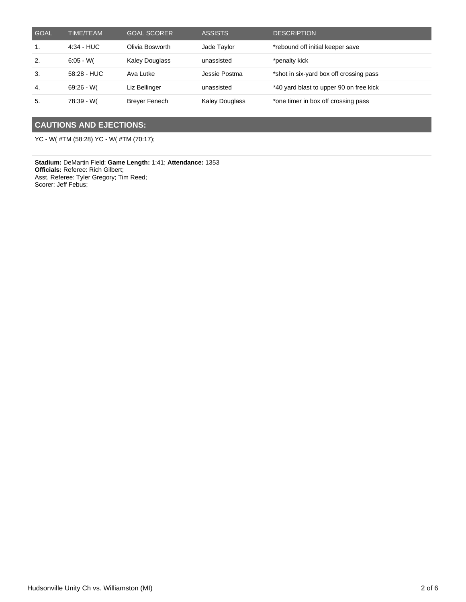| <b>GOAL</b> | <b>TIME/TEAM</b> | <b>GOAL SCORER</b>    | <b>ASSISTS</b>        | <b>DESCRIPTION</b>                      |
|-------------|------------------|-----------------------|-----------------------|-----------------------------------------|
| 1.          | $4:34$ - HUC     | Olivia Bosworth       | Jade Taylor           | *rebound off initial keeper save        |
| 2.          | $6:05 - W($      | <b>Kaley Douglass</b> | unassisted            | *penalty kick                           |
| 3.          | 58:28 - HUC      | Ava Lutke             | Jessie Postma         | *shot in six-yard box off crossing pass |
| -4.         | $69:26 - W($     | Liz Bellinger         | unassisted            | *40 yard blast to upper 90 on free kick |
| 5.          | 78:39 - W(       | <b>Brever Fenech</b>  | <b>Kaley Douglass</b> | *one timer in box off crossing pass     |

## **CAUTIONS AND EJECTIONS:**

YC - W( #TM (58:28) YC - W( #TM (70:17);

**Stadium:** DeMartin Field; **Game Length:** 1:41; **Attendance:** 1353 **Officials:** Referee: Rich Gilbert; Asst. Referee: Tyler Gregory; Tim Reed; Scorer: Jeff Febus;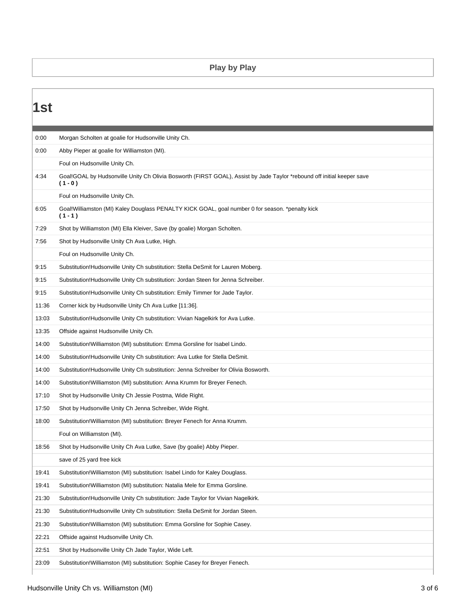### **Play by Play**

| 1st   |                                                                                                                                     |
|-------|-------------------------------------------------------------------------------------------------------------------------------------|
|       |                                                                                                                                     |
| 0:00  | Morgan Scholten at goalie for Hudsonville Unity Ch.                                                                                 |
| 0:00  | Abby Pieper at goalie for Williamston (MI).                                                                                         |
|       | Foul on Hudsonville Unity Ch.                                                                                                       |
| 4:34  | Goal!GOAL by Hudsonville Unity Ch Olivia Bosworth (FIRST GOAL), Assist by Jade Taylor *rebound off initial keeper save<br>$(1 - 0)$ |
|       | Foul on Hudsonville Unity Ch.                                                                                                       |
| 6:05  | Goal!Williamston (MI) Kaley Douglass PENALTY KICK GOAL, goal number 0 for season. *penalty kick<br>$(1 - 1)$                        |
| 7:29  | Shot by Williamston (MI) Ella Kleiver, Save (by goalie) Morgan Scholten.                                                            |
| 7:56  | Shot by Hudsonville Unity Ch Ava Lutke, High.                                                                                       |
|       | Foul on Hudsonville Unity Ch.                                                                                                       |
| 9:15  | Substitution! Hudsonville Unity Ch substitution: Stella DeSmit for Lauren Moberg.                                                   |
| 9:15  | Substitution! Hudsonville Unity Ch substitution: Jordan Steen for Jenna Schreiber.                                                  |
| 9:15  | Substitution! Hudsonville Unity Ch substitution: Emily Timmer for Jade Taylor.                                                      |
| 11:36 | Corner kick by Hudsonville Unity Ch Ava Lutke [11:36].                                                                              |
| 13:03 | Substitution!Hudsonville Unity Ch substitution: Vivian Nagelkirk for Ava Lutke.                                                     |
| 13:35 | Offside against Hudsonville Unity Ch.                                                                                               |
| 14:00 | Substitution! Williamston (MI) substitution: Emma Gorsline for Isabel Lindo.                                                        |
| 14:00 | Substitution! Hudsonville Unity Ch substitution: Ava Lutke for Stella DeSmit.                                                       |
| 14:00 | Substitution! Hudsonville Unity Ch substitution: Jenna Schreiber for Olivia Bosworth.                                               |
| 14:00 | Substitution! Williamston (MI) substitution: Anna Krumm for Breyer Fenech.                                                          |
| 17:10 | Shot by Hudsonville Unity Ch Jessie Postma, Wide Right.                                                                             |
| 17:50 | Shot by Hudsonville Unity Ch Jenna Schreiber, Wide Right.                                                                           |
| 18:00 | Substitution! Williamston (MI) substitution: Breyer Fenech for Anna Krumm.                                                          |
|       | Foul on Williamston (MI).                                                                                                           |
| 18:56 | Shot by Hudsonville Unity Ch Ava Lutke, Save (by goalie) Abby Pieper.                                                               |
|       | save of 25 yard free kick                                                                                                           |
| 19:41 | Substitution! Williamston (MI) substitution: Isabel Lindo for Kaley Douglass.                                                       |
| 19:41 | Substitution! Williamston (MI) substitution: Natalia Mele for Emma Gorsline.                                                        |
| 21:30 | Substitution! Hudsonville Unity Ch substitution: Jade Taylor for Vivian Nagelkirk.                                                  |
| 21:30 | Substitution!Hudsonville Unity Ch substitution: Stella DeSmit for Jordan Steen.                                                     |
| 21:30 | Substitution! Williamston (MI) substitution: Emma Gorsline for Sophie Casey.                                                        |
| 22:21 | Offside against Hudsonville Unity Ch.                                                                                               |
| 22:51 | Shot by Hudsonville Unity Ch Jade Taylor, Wide Left.                                                                                |
| 23:09 | Substitution! Williamston (MI) substitution: Sophie Casey for Breyer Fenech.                                                        |
|       |                                                                                                                                     |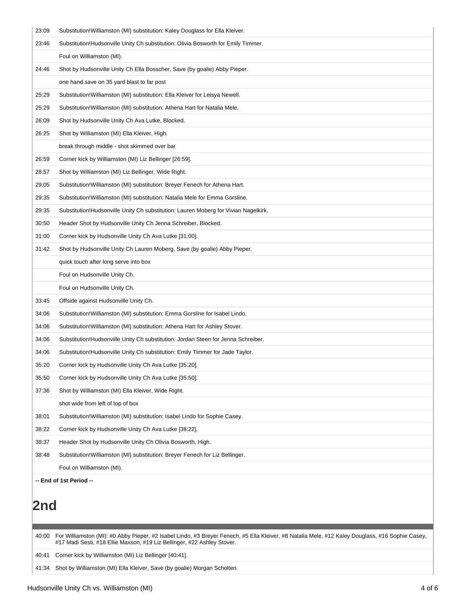| 23:09      | Substitution! Williamston (MI) substitution: Kaley Douglass for Ella Kleiver.                                                                    |
|------------|--------------------------------------------------------------------------------------------------------------------------------------------------|
| 23:46      | Substitution! Hudsonville Unity Ch substitution: Olivia Bosworth for Emily Timmer.                                                               |
|            | Foul on Williamston (MI).                                                                                                                        |
| 24:46      | Shot by Hudsonville Unity Ch Ella Bosscher, Save (by goalie) Abby Pieper.                                                                        |
|            | one hand save on 35 yard blast to far post                                                                                                       |
| 25:29      | Substitution! Williamston (MI) substitution: Ella Kleiver for Leisya Newell.                                                                     |
| 25:29      | Substitution! Williamston (MI) substitution: Athena Hart for Natalia Mele.                                                                       |
| 26:09      | Shot by Hudsonville Unity Ch Ava Lutke, Blocked.                                                                                                 |
| 26:25      | Shot by Williamston (MI) Ella Kleiver, High.                                                                                                     |
|            | break through middle - shot skimmed over bar                                                                                                     |
| 26:59      | Corner kick by Williamston (MI) Liz Bellinger [26:59].                                                                                           |
| 28:57      | Shot by Williamston (MI) Liz Bellinger, Wide Right.                                                                                              |
| 29:05      | Substitution! Williamston (MI) substitution: Breyer Fenech for Athena Hart.                                                                      |
| 29:35      | Substitution! Williamston (MI) substitution: Natalia Mele for Emma Gorsline.                                                                     |
| 29:35      | Substitution! Hudsonville Unity Ch substitution: Lauren Moberg for Vivian Nagelkirk.                                                             |
| 30:50      | Header Shot by Hudsonville Unity Ch Jenna Schreiber, Blocked.                                                                                    |
| 31:00      | Corner kick by Hudsonville Unity Ch Ava Lutke [31:00].                                                                                           |
| 31:42      | Shot by Hudsonville Unity Ch Lauren Moberg, Save (by goalie) Abby Pieper.                                                                        |
|            | quick touch after long serve into box                                                                                                            |
|            | Foul on Hudsonville Unity Ch.                                                                                                                    |
|            | Foul on Hudsonville Unity Ch.                                                                                                                    |
| 33:45      | Offside against Hudsonville Unity Ch.                                                                                                            |
| 34:06      | Substitution! Williamston (MI) substitution: Emma Gorsline for Isabel Lindo.                                                                     |
| 34:06      | Substitution! Williamston (MI) substitution: Athena Hart for Ashley Stover.                                                                      |
| 34:06      | Substitution! Hudsonville Unity Ch substitution: Jordan Steen for Jenna Schreiber.                                                               |
| 34:06      | Substitution! Hudsonville Unity Ch substitution: Emily Timmer for Jade Taylor.                                                                   |
| 35:20      | Corner kick by Hudsonville Unity Ch Ava Lutke [35:20].                                                                                           |
| 35:50      | Corner kick by Hudsonville Unity Ch Ava Lutke [35:50].                                                                                           |
| 37:36      | Shot by Williamston (MI) Ella Kleiver, Wide Right.                                                                                               |
|            | shot wide from left of top of box                                                                                                                |
| 38:01      | Substitution! Williamston (MI) substitution: Isabel Lindo for Sophie Casey.                                                                      |
| 38:22      | Corner kick by Hudsonville Unity Ch Ava Lutke [38:22].                                                                                           |
| 38:37      | Header Shot by Hudsonville Unity Ch Olivia Bosworth, High.                                                                                       |
| 38:48      | Substitution!Williamston (MI) substitution: Breyer Fenech for Liz Bellinger.                                                                     |
|            | Foul on Williamston (MI).                                                                                                                        |
|            | -- End of 1st Period --                                                                                                                          |
|            |                                                                                                                                                  |
| <b>2nd</b> |                                                                                                                                                  |
|            |                                                                                                                                                  |
| 40:00      | For Williamston (MI): #0 Abby Pieper, #2 Isabel Lindo, #3 Breyer Fenech, #5 Ella Kleiver, #8 Natalia Mele, #12 Kaley Douglass, #16 Sophie Casey, |
|            | #17 Madi Sesti, #18 Ellie Maxson, #19 Liz Bellinger, #22 Ashley Stover.                                                                          |
| 40:41      | Corner kick by Williamston (MI) Liz Bellinger [40:41].                                                                                           |

41:34 Shot by Williamston (MI) Ella Kleiver, Save (by goalie) Morgan Scholten.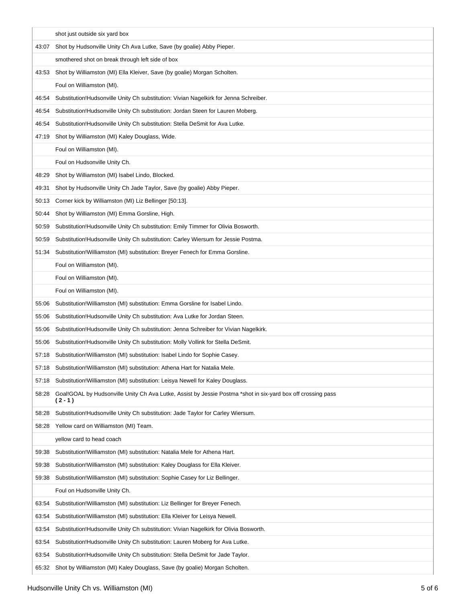|       | shot just outside six yard box                                                                                        |
|-------|-----------------------------------------------------------------------------------------------------------------------|
| 43:07 | Shot by Hudsonville Unity Ch Ava Lutke, Save (by goalie) Abby Pieper.                                                 |
|       | smothered shot on break through left side of box                                                                      |
| 43:53 | Shot by Williamston (MI) Ella Kleiver, Save (by goalie) Morgan Scholten.                                              |
|       | Foul on Williamston (MI).                                                                                             |
| 46:54 | Substitution! Hudsonville Unity Ch substitution: Vivian Nagelkirk for Jenna Schreiber.                                |
| 46:54 | Substitution!Hudsonville Unity Ch substitution: Jordan Steen for Lauren Moberg.                                       |
| 46:54 | Substitution! Hudsonville Unity Ch substitution: Stella DeSmit for Ava Lutke.                                         |
| 47:19 | Shot by Williamston (MI) Kaley Douglass, Wide.                                                                        |
|       | Foul on Williamston (MI).                                                                                             |
|       | Foul on Hudsonville Unity Ch.                                                                                         |
| 48:29 | Shot by Williamston (MI) Isabel Lindo, Blocked.                                                                       |
| 49:31 | Shot by Hudsonville Unity Ch Jade Taylor, Save (by goalie) Abby Pieper.                                               |
| 50:13 | Corner kick by Williamston (MI) Liz Bellinger [50:13].                                                                |
| 50:44 | Shot by Williamston (MI) Emma Gorsline, High.                                                                         |
| 50:59 | Substitution! Hudsonville Unity Ch substitution: Emily Timmer for Olivia Bosworth.                                    |
| 50:59 | Substitution! Hudsonville Unity Ch substitution: Carley Wiersum for Jessie Postma.                                    |
| 51:34 | Substitution! Williamston (MI) substitution: Breyer Fenech for Emma Gorsline.                                         |
|       | Foul on Williamston (MI).                                                                                             |
|       | Foul on Williamston (MI).                                                                                             |
|       | Foul on Williamston (MI).                                                                                             |
| 55:06 | Substitution! Williamston (MI) substitution: Emma Gorsline for Isabel Lindo.                                          |
| 55:06 | Substitution! Hudsonville Unity Ch substitution: Ava Lutke for Jordan Steen.                                          |
| 55:06 | Substitution! Hudsonville Unity Ch substitution: Jenna Schreiber for Vivian Nagelkirk.                                |
| 55:06 | Substitution! Hudsonville Unity Ch substitution: Molly Vollink for Stella DeSmit.                                     |
| 57:18 | Substitution! Williamston (MI) substitution: Isabel Lindo for Sophie Casey.                                           |
| 57:18 | Substitution! Williamston (MI) substitution: Athena Hart for Natalia Mele.                                            |
| 57:18 | Substitution! Williamston (MI) substitution: Leisya Newell for Kaley Douglass.                                        |
| 58:28 | Goal!GOAL by Hudsonville Unity Ch Ava Lutke, Assist by Jessie Postma *shot in six-yard box off crossing pass<br>(2-1) |
| 58:28 | Substitution! Hudsonville Unity Ch substitution: Jade Taylor for Carley Wiersum.                                      |
| 58:28 | Yellow card on Williamston (MI) Team.                                                                                 |
|       | yellow card to head coach                                                                                             |
| 59:38 | Substitution! Williamston (MI) substitution: Natalia Mele for Athena Hart.                                            |
| 59:38 | Substitution! Williamston (MI) substitution: Kaley Douglass for Ella Kleiver.                                         |
| 59:38 | Substitution! Williamston (MI) substitution: Sophie Casey for Liz Bellinger.                                          |
|       | Foul on Hudsonville Unity Ch.                                                                                         |
| 63:54 | Substitution! Williamston (MI) substitution: Liz Bellinger for Breyer Fenech.                                         |
| 63:54 | Substitution! Williamston (MI) substitution: Ella Kleiver for Leisya Newell.                                          |
| 63:54 | Substitution! Hudsonville Unity Ch substitution: Vivian Nagelkirk for Olivia Bosworth.                                |
| 63:54 | Substitution!Hudsonville Unity Ch substitution: Lauren Moberg for Ava Lutke.                                          |
| 63:54 | Substitution! Hudsonville Unity Ch substitution: Stella DeSmit for Jade Taylor.                                       |
| 65:32 | Shot by Williamston (MI) Kaley Douglass, Save (by goalie) Morgan Scholten.                                            |